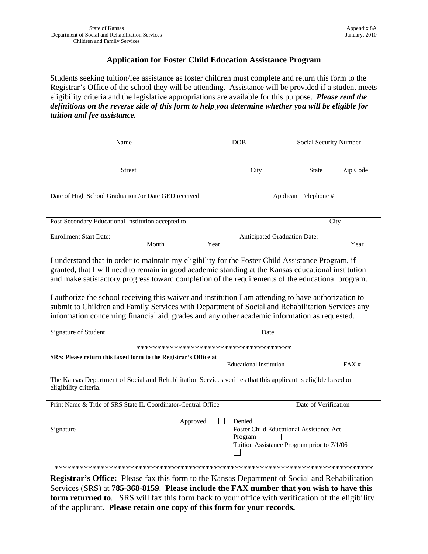#### **Application for Foster Child Education Assistance Program**

Students seeking tuition/fee assistance as foster children must complete and return this form to the Registrar's Office of the school they will be attending. Assistance will be provided if a student meets eligibility criteria and the legislative appropriations are available for this purpose. Please read the definitions on the reverse side of this form to help you determine whether you will be eligible for tuition and fee assistance.

| Name<br><b>DOB</b>                                                                                                                                                                                      |                                     | Social Security Number                         |          |  |
|---------------------------------------------------------------------------------------------------------------------------------------------------------------------------------------------------------|-------------------------------------|------------------------------------------------|----------|--|
|                                                                                                                                                                                                         |                                     |                                                |          |  |
| <b>Street</b>                                                                                                                                                                                           | City                                | <b>State</b>                                   | Zip Code |  |
|                                                                                                                                                                                                         |                                     |                                                |          |  |
|                                                                                                                                                                                                         |                                     |                                                |          |  |
| Date of High School Graduation /or Date GED received<br>Applicant Telephone #                                                                                                                           |                                     |                                                |          |  |
|                                                                                                                                                                                                         |                                     |                                                |          |  |
| Post-Secondary Educational Institution accepted to                                                                                                                                                      |                                     | City                                           |          |  |
| <b>Enrollment Start Date:</b>                                                                                                                                                                           | <b>Anticipated Graduation Date:</b> |                                                |          |  |
| Month                                                                                                                                                                                                   | Year                                |                                                | Year     |  |
|                                                                                                                                                                                                         |                                     |                                                |          |  |
| I understand that in order to maintain my eligibility for the Foster Child Assistance Program, if                                                                                                       |                                     |                                                |          |  |
| granted, that I will need to remain in good academic standing at the Kansas educational institution<br>and make satisfactory progress toward completion of the requirements of the educational program. |                                     |                                                |          |  |
|                                                                                                                                                                                                         |                                     |                                                |          |  |
| I authorize the school receiving this waiver and institution I am attending to have authorization to                                                                                                    |                                     |                                                |          |  |
| submit to Children and Family Services with Department of Social and Rehabilitation Services any                                                                                                        |                                     |                                                |          |  |
| information concerning financial aid, grades and any other academic information as requested.                                                                                                           |                                     |                                                |          |  |
|                                                                                                                                                                                                         |                                     |                                                |          |  |
| Signature of Student                                                                                                                                                                                    | Date                                |                                                |          |  |
| *************************************                                                                                                                                                                   |                                     |                                                |          |  |
| SRS: Please return this faxed form to the Registrar's Office at                                                                                                                                         |                                     |                                                |          |  |
|                                                                                                                                                                                                         | <b>Educational Institution</b>      |                                                | FAX#     |  |
| The Kansas Department of Social and Rehabilitation Services verifies that this applicant is eligible based on                                                                                           |                                     |                                                |          |  |
|                                                                                                                                                                                                         |                                     |                                                |          |  |
|                                                                                                                                                                                                         |                                     |                                                |          |  |
| eligibility criteria.                                                                                                                                                                                   |                                     |                                                |          |  |
| Print Name & Title of SRS State IL Coordinator-Central Office                                                                                                                                           |                                     | Date of Verification                           |          |  |
|                                                                                                                                                                                                         |                                     |                                                |          |  |
| Approved                                                                                                                                                                                                | Denied                              |                                                |          |  |
| Signature                                                                                                                                                                                               | Program                             | <b>Foster Child Educational Assistance Act</b> |          |  |
|                                                                                                                                                                                                         |                                     | Tuition Assistance Program prior to 7/1/06     |          |  |
|                                                                                                                                                                                                         |                                     |                                                |          |  |
|                                                                                                                                                                                                         |                                     |                                                |          |  |

Services (SRS) at 785-368-8159. Please include the FAX number that you wish to have this form returned to. SRS will fax this form back to your office with verification of the eligibility of the applicant. Please retain one copy of this form for your records.